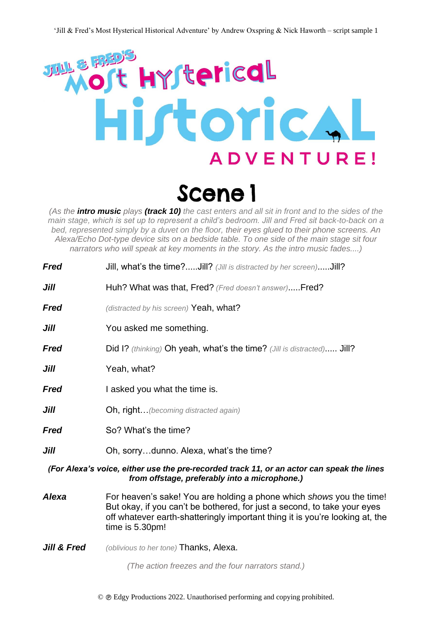

*(As the intro music plays (track 10) the cast enters and all sit in front and to the sides of the main stage, which is set up to represent a child's bedroom. Jill and Fred sit back-to-back on a bed, represented simply by a duvet on the floor, their eyes glued to their phone screens. An Alexa/Echo Dot-type device sits on a bedside table. To one side of the main stage sit four narrators who will speak at key moments in the story. As the intro music fades....)*

| <b>Fred</b>                                                                                                                                | Jill, what's the time?Jill? (Jill is distracted by her screen)Jill?                                                                                                                                                                                 |
|--------------------------------------------------------------------------------------------------------------------------------------------|-----------------------------------------------------------------------------------------------------------------------------------------------------------------------------------------------------------------------------------------------------|
| Jill                                                                                                                                       | Huh? What was that, Fred? (Fred doesn't answer)Fred?                                                                                                                                                                                                |
| <b>Fred</b>                                                                                                                                | (distracted by his screen) Yeah, what?                                                                                                                                                                                                              |
| Jill                                                                                                                                       | You asked me something.                                                                                                                                                                                                                             |
| Fred                                                                                                                                       | Did I? (thinking) Oh yeah, what's the time? (Jill is distracted) Jill?                                                                                                                                                                              |
| Jill                                                                                                                                       | Yeah, what?                                                                                                                                                                                                                                         |
| <b>Fred</b>                                                                                                                                | I asked you what the time is.                                                                                                                                                                                                                       |
| Jill                                                                                                                                       | <b>Oh, right</b> (becoming distracted again)                                                                                                                                                                                                        |
| Fred                                                                                                                                       | So? What's the time?                                                                                                                                                                                                                                |
| Jill                                                                                                                                       | Oh, sorrydunno. Alexa, what's the time?                                                                                                                                                                                                             |
| (For Alexa's voice, either use the pre-recorded track 11, or an actor can speak the lines<br>from offstage, preferably into a microphone.) |                                                                                                                                                                                                                                                     |
| <b>Alexa</b>                                                                                                                               | For heaven's sake! You are holding a phone which shows you the time!<br>But okay, if you can't be bothered, for just a second, to take your eyes<br>off whatever earth-shatteringly important thing it is you're looking at, the<br>time is 5.30pm! |

*Jill & Fred* (oblivious to her tone) Thanks, Alexa.

*(The action freezes and the four narrators stand.)*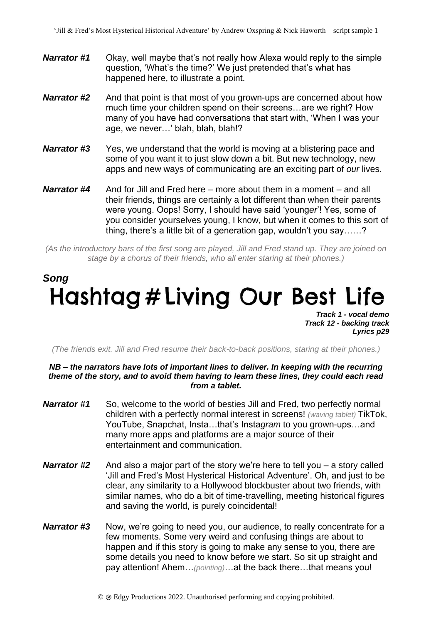- *Narrator #1* Okay, well maybe that's not really how Alexa would reply to the simple question, 'What's the time?' We just pretended that's what has happened here, to illustrate a point.
- *Narrator #2* And that point is that most of you grown-ups are concerned about how much time your children spend on their screens…are we right? How many of you have had conversations that start with, 'When I was your age, we never…' blah, blah, blah!?
- *Narrator #3* Yes, we understand that the world is moving at a blistering pace and some of you want it to just slow down a bit. But new technology, new apps and new ways of communicating are an exciting part of *our* lives.
- *Narrator #4* And for Jill and Fred here more about them in a moment and all their friends, things are certainly a lot different than when their parents were young. Oops! Sorry, I should have said 'young*er*'! Yes, some of you consider yourselves young, I know, but when it comes to this sort of thing, there's a little bit of a generation gap, wouldn't you say……?

*(As the introductory bars of the first song are played, Jill and Fred stand up. They are joined on stage by a chorus of their friends, who all enter staring at their phones.)*

### *Song* Hashtag # Living Our Best Life *Track 1 - vocal demo*

*Track 12 - backing track Lyrics p29*

*(The friends exit. Jill and Fred resume their back-to-back positions, staring at their phones.)*

#### *NB – the narrators have lots of important lines to deliver. In keeping with the recurring theme of the story, and to avoid them having to learn these lines, they could each read from a tablet.*

- *Narrator #1* So, welcome to the world of besties Jill and Fred, two perfectly normal children with a perfectly normal interest in screens! *(waving tablet)* TikTok, YouTube, Snapchat, Insta…that's Insta*gram* to you grown-ups…and many more apps and platforms are a major source of their entertainment and communication.
- *Narrator #2* And also a major part of the story we're here to tell you a story called 'Jill and Fred's Most Hysterical Historical Adventure'. Oh, and just to be clear, any similarity to a Hollywood blockbuster about two friends, with similar names, who do a bit of time-travelling, meeting historical figures and saving the world, is purely coincidental!
- **Narrator #3** Now, we're going to need you, our audience, to really concentrate for a few moments. Some very weird and confusing things are about to happen and if this story is going to make any sense to you, there are some details you need to know before we start. So sit up straight and pay attention! Ahem…*(pointing)*…at the back there…that means you!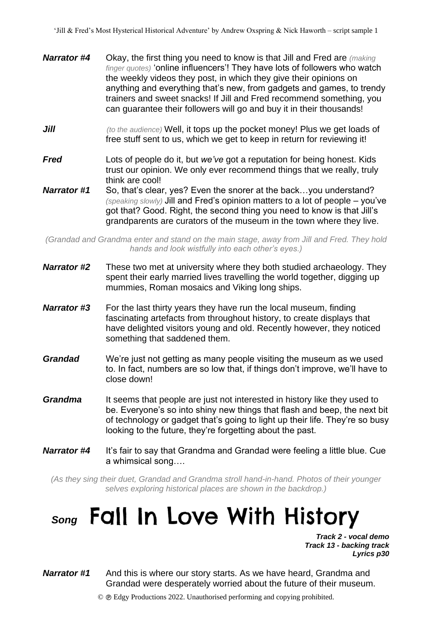- *Narrator #4* Okay, the first thing you need to know is that Jill and Fred are *(making finger quotes)* 'online influencers'! They have lots of followers who watch the weekly videos they post, in which they give their opinions on anything and everything that's new, from gadgets and games, to trendy trainers and sweet snacks! If Jill and Fred recommend something, you can guarantee their followers will go and buy it in their thousands!
- *Jill* (to the audience) Well, it tops up the pocket money! Plus we get loads of free stuff sent to us, which we get to keep in return for reviewing it!
- *Fred* Lots of people do it, but *we've* got a reputation for being honest. Kids trust our opinion. We only ever recommend things that we really, truly think are cool!
- *Narrator #1* So, that's clear, yes? Even the snorer at the back…you understand? *(speaking slowly)* Jill and Fred's opinion matters to a lot of people – you've got that? Good. Right, the second thing you need to know is that Jill's grandparents are curators of the museum in the town where they live.

*(Grandad and Grandma enter and stand on the main stage, away from Jill and Fred. They hold hands and look wistfully into each other's eyes.)*

- *Narrator #2* These two met at university where they both studied archaeology. They spent their early married lives travelling the world together, digging up mummies, Roman mosaics and Viking long ships.
- *Narrator #3* For the last thirty years they have run the local museum, finding fascinating artefacts from throughout history, to create displays that have delighted visitors young and old. Recently however, they noticed something that saddened them.
- *Grandad* We're just not getting as many people visiting the museum as we used to. In fact, numbers are so low that, if things don't improve, we'll have to close down!
- *Grandma* It seems that people are just not interested in history like they used to be. Everyone's so into shiny new things that flash and beep, the next bit of technology or gadget that's going to light up their life. They're so busy looking to the future, they're forgetting about the past.
- *Narrator #4* It's fair to say that Grandma and Grandad were feeling a little blue. Cue a whimsical song….

*(As they sing their duet, Grandad and Grandma stroll hand-in-hand. Photos of their younger selves exploring historical places are shown in the backdrop.)*

# **Song Fall In Love With History**

*Track 2 - vocal demo Track 13 - backing track Lyrics p30*

*Narrator #1* And this is where our story starts. As we have heard, Grandma and Grandad were desperately worried about the future of their museum.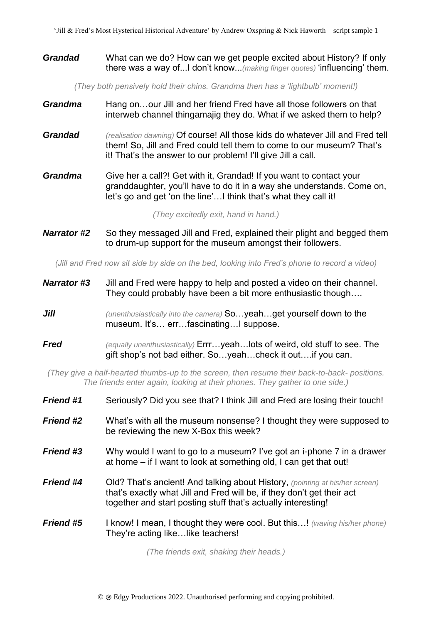#### *Grandad* What can we do? How can we get people excited about History? If only there was a way of...I don't know...*(making finger quotes)* 'influencing' them.

*(They both pensively hold their chins. Grandma then has a 'lightbulb' moment!)*

- *Grandma* Hang on…our Jill and her friend Fred have all those followers on that interweb channel thingamajig they do. What if we asked them to help?
- *Grandad (realisation dawning)* Of course! All those kids do whatever Jill and Fred tell them! So, Jill and Fred could tell them to come to our museum? That's it! That's the answer to our problem! I'll give Jill a call.
- *Grandma* Give her a call?! Get with it, Grandad! If you want to contact your granddaughter, you'll have to do it in a way she understands. Come on, let's go and get 'on the line'…I think that's what they call it!

*(They excitedly exit, hand in hand.)*

*Narrator #2* So they messaged Jill and Fred, explained their plight and begged them to drum-up support for the museum amongst their followers.

*(Jill and Fred now sit side by side on the bed, looking into Fred's phone to record a video)*

- *Narrator #3* Jill and Fred were happy to help and posted a video on their channel. They could probably have been a bit more enthusiastic though….
- *Jill (unenthusiastically into the camera)* **So...yeah...get yourself down to the** museum. It's… err…fascinating…I suppose.
- *Fred (equally unenthusiastically)* Errr…yeah…lots of weird, old stuff to see. The gift shop's not bad either. So…yeah…check it out….if you can.

*(They give a half-hearted thumbs-up to the screen, then resume their back-to-back- positions. The friends enter again, looking at their phones. They gather to one side.)*

| <b>Friend #1</b> | Seriously? Did you see that? I think Jill and Fred are losing their touch!                                                                                                                                              |
|------------------|-------------------------------------------------------------------------------------------------------------------------------------------------------------------------------------------------------------------------|
| <b>Friend #2</b> | What's with all the museum nonsense? I thought they were supposed to<br>be reviewing the new X-Box this week?                                                                                                           |
| <b>Friend #3</b> | Why would I want to go to a museum? I've got an i-phone 7 in a drawer<br>at home – if I want to look at something old, I can get that out!                                                                              |
| <b>Friend #4</b> | Old? That's ancient! And talking about History, (pointing at his/her screen)<br>that's exactly what Jill and Fred will be, if they don't get their act<br>together and start posting stuff that's actually interesting! |
| <b>Friend #5</b> | <b>I know! I mean, I thought they were cool. But this!</b> (waving his/her phone)<br>They're acting like like teachers!                                                                                                 |
|                  |                                                                                                                                                                                                                         |

*(The friends exit, shaking their heads.)*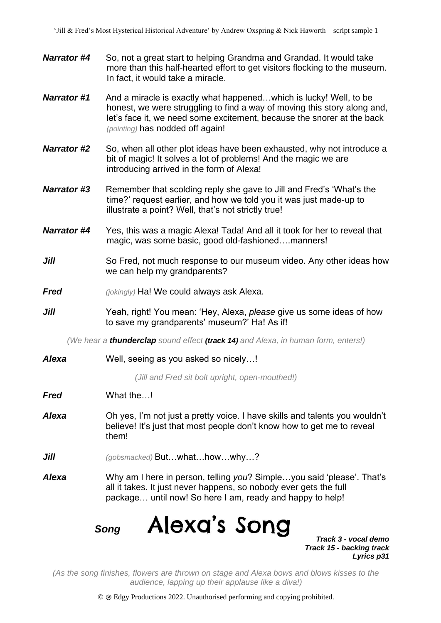- *Narrator #4* So, not a great start to helping Grandma and Grandad. It would take more than this half-hearted effort to get visitors flocking to the museum. In fact, it would take a miracle.
- *Narrator #1* And a miracle is exactly what happened…which is lucky! Well, to be honest, we were struggling to find a way of moving this story along and, let's face it, we need some excitement, because the snorer at the back *(pointing)* has nodded off again!
- *Narrator #2* So, when all other plot ideas have been exhausted, why not introduce a bit of magic! It solves a lot of problems! And the magic we are introducing arrived in the form of Alexa!
- **Narrator #3** Remember that scolding reply she gave to Jill and Fred's 'What's the time?' request earlier, and how we told you it was just made-up to illustrate a point? Well, that's not strictly true!
- *Narrator #4* Yes, this was a magic Alexa! Tada! And all it took for her to reveal that magic, was some basic, good old-fashioned….manners!
- *Jill* So Fred, not much response to our museum video. Any other ideas how we can help my grandparents?
- *Fred (jokingly)* Ha! We could always ask Alexa.
- *Jill* Yeah, right! You mean: 'Hey, Alexa, *please* give us some ideas of how to save my grandparents' museum?' Ha! As if!

*(We hear a thunderclap sound effect (track 14) and Alexa, in human form, enters!)*

*Alexa* Well, seeing as you asked so nicely…!

*(Jill and Fred sit bolt upright, open-mouthed!)*

- *Fred* What the…!
- *Alexa* Oh yes, I'm not just a pretty voice. I have skills and talents you wouldn't believe! It's just that most people don't know how to get me to reveal them!
- *Jill (gobsmacked)* But…what…how…why…?
- *Alexa* Why am I here in person, telling *you*? Simple…you said 'please'. That's all it takes. It just never happens, so nobody ever gets the full package… until now! So here I am, ready and happy to help!

Alexa's Song  *Song* 

*Track 3 - vocal demo Track 15 - backing track Lyrics p31*

*(As the song finishes, flowers are thrown on stage and Alexa bows and blows kisses to the audience, lapping up their applause like a diva!)*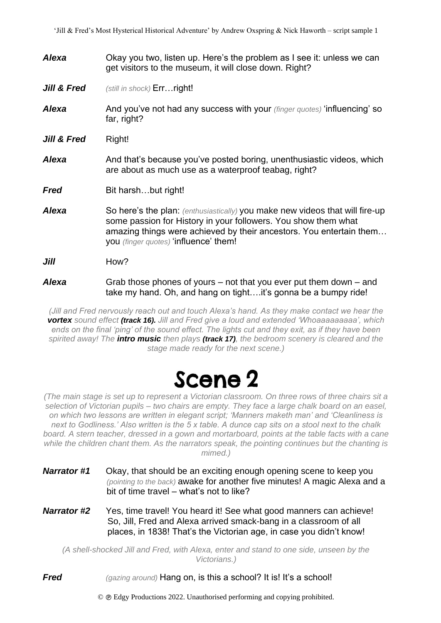*Alexa* Okay you two, listen up. Here's the problem as I see it: unless we can get visitors to the museum, it will close down. Right? *Jill & Fred (still in shock)* **Err... right!** *Alexa* And you've not had any success with your *(finger quotes)* 'influencing' so far, right? Jill & Fred Right! Alexa **And that's because you've posted boring, unenthusiastic videos, which** are about as much use as a waterproof teabag, right? **Fred** Bit harsh...but right! Alexa So here's the plan: *(enthusiastically)* you make new videos that will fire-up some passion for History in your followers. You show them what amazing things were achieved by their ancestors. You entertain them… you *(finger quotes)* 'influence' them! *Jill* How? *Alexa* Grab those phones of yours – not that you ever put them down – and take my hand. Oh, and hang on tight….it's gonna be a bumpy ride!

*(Jill and Fred nervously reach out and touch Alexa's hand. As they make contact we hear the vortex sound effect (track 16). Jill and Fred give a loud and extended 'Whoaaaaaaaaa', which ends on the final 'ping' of the sound effect. The lights cut and they exit, as if they have been spirited away! The intro music then plays (track 17), the bedroom scenery is cleared and the stage made ready for the next scene.)* 

## Scene<sub>2</sub>

*(The main stage is set up to represent a Victorian classroom. On three rows of three chairs sit a selection of Victorian pupils – two chairs are empty. They face a large chalk board on an easel, on which two lessons are written in elegant script; 'Manners maketh man' and 'Cleanliness is next to Godliness.' Also written is the 5 x table. A dunce cap sits on a stool next to the chalk*  board. A stern teacher, dressed in a gown and mortarboard, points at the table facts with a cane *while the children chant them. As the narrators speak, the pointing continues but the chanting is mimed.)* 

- *Narrator #1* Okay, that should be an exciting enough opening scene to keep you *(pointing to the back)* awake for another five minutes! A magic Alexa and a bit of time travel – what's not to like?
- *Narrator #2* Yes, time travel! You heard it! See what good manners can achieve! So, Jill, Fred and Alexa arrived smack-bang in a classroom of all places, in 1838! That's the Victorian age, in case you didn't know!

*(A shell-shocked Jill and Fred, with Alexa, enter and stand to one side, unseen by the Victorians.)* 

**Fred** *(gazing around)* **Hang on, is this a school?** It is! It's a school!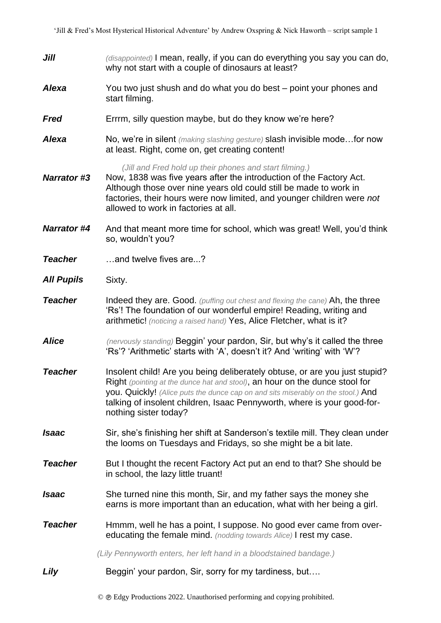- *Jill (disappointed)* I mean, really, if you can do everything you say you can do, why not start with a couple of dinosaurs at least?
- *Alexa*  You two just shush and do what you do best – point your phones and start filming.
- *Fred*  Errrm, silly question maybe, but do they know we're here?
- *Alexa*  No, we're in silent *(making slashing gesture)* slash invisible mode…for now at least. Right, come on, get creating content!

*(Jill and Fred hold up their phones and start filming.)* 

- *Narrator #3* Now, 1838 was five years after the introduction of the Factory Act. Although those over nine years old could still be made to work in factories, their hours were now limited, and younger children were *not* allowed to work in factories at all.
- *Narrator #4* And that meant more time for school, which was great! Well, you'd think so, wouldn't you?
- *Teacher* …and twelve fives are...?
- *All Pupils* Sixty.
- *Teacher* Indeed they are. Good. *(puffing out chest and flexing the cane)* Ah, the three 'Rs'! The foundation of our wonderful empire! Reading, writing and arithmetic! *(noticing a raised hand)* Yes, Alice Fletcher, what is it?
- *Alice (nervously standing)* Beggin' your pardon, Sir, but why's it called the three 'Rs'? 'Arithmetic' starts with 'A', doesn't it? And 'writing' with 'W'?
- *Teacher* Insolent child! Are you being deliberately obtuse, or are you just stupid? Right *(pointing at the dunce hat and stool)*, an hour on the dunce stool for you. Quickly! *(Alice puts the dunce cap on and sits miserably on the stool.)* And talking of insolent children, Isaac Pennyworth, where is your good-fornothing sister today?
- *Isaac*  Sir, she's finishing her shift at Sanderson's textile mill. They clean under the looms on Tuesdays and Fridays, so she might be a bit late.
- *Teacher* But I thought the recent Factory Act put an end to that? She should be in school, the lazy little truant!
- *Isaac*  She turned nine this month, Sir, and my father says the money she earns is more important than an education, what with her being a girl.
- *Teacher* Hmmm, well he has a point, I suppose. No good ever came from overeducating the female mind. *(nodding towards Alice)* I rest my case.

*(Lily Pennyworth enters, her left hand in a bloodstained bandage.)* 

**Lily** Beggin' your pardon, Sir, sorry for my tardiness, but....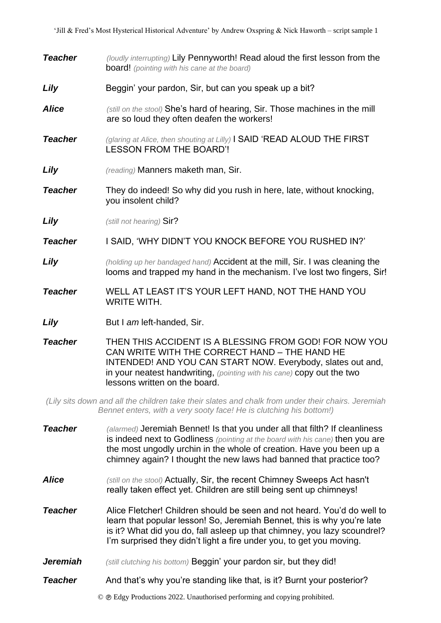- *Teacher (loudly interrupting)* Lily Pennyworth! Read aloud the first lesson from the board! *(pointing with his cane at the board)*
- **Lily** Beggin' your pardon, Sir, but can you speak up a bit?
- *Alice (still on the stool)* She's hard of hearing, Sir. Those machines in the mill are so loud they often deafen the workers!
- *Teacher (glaring at Alice, then shouting at Lilly)* I SAID 'READ ALOUD THE FIRST LESSON FROM THE BOARD'!
- *Lily (reading)* Manners maketh man, Sir.
- **Teacher** They do indeed! So why did you rush in here, late, without knocking, you insolent child?
- *Lily (still not hearing)* Sir?
- *Teacher* I SAID, 'WHY DIDN'T YOU KNOCK BEFORE YOU RUSHED IN?'
- *Lily (holding up her bandaged hand)* Accident at the mill, Sir. I was cleaning the looms and trapped my hand in the mechanism. I've lost two fingers, Sir!
- *Teacher* WELL AT LEAST IT'S YOUR LEFT HAND, NOT THE HAND YOU WRITE WITH.
- **Lily But I am left-handed, Sir.**

*Teacher* THEN THIS ACCIDENT IS A BLESSING FROM GOD! FOR NOW YOU CAN WRITE WITH THE CORRECT HAND – THE HAND HE INTENDED! AND YOU CAN START NOW. Everybody, slates out and, in your neatest handwriting, *(pointing with his cane)* copy out the two lessons written on the board.

*(Lily sits down and all the children take their slates and chalk from under their chairs. Jeremiah Bennet enters, with a very sooty face! He is clutching his bottom!)* 

- *Teacher (alarmed)* Jeremiah Bennet! Is that you under all that filth? If cleanliness is indeed next to Godliness *(pointing at the board with his cane)* then you are the most ungodly urchin in the whole of creation. Have you been up a chimney again? I thought the new laws had banned that practice too?
- *Alice (still on the stool)* Actually, Sir, the recent Chimney Sweeps Act hasn't really taken effect yet. Children are still being sent up chimneys!
- *Teacher* Alice Fletcher! Children should be seen and not heard. You'd do well to learn that popular lesson! So, Jeremiah Bennet, this is why you're late is it? What did you do, fall asleep up that chimney, you lazy scoundrel? I'm surprised they didn't light a fire under you, to get you moving.
- *Jeremiah (still clutching his bottom)* Beggin' your pardon sir, but they did!
- *Teacher* And that's why you're standing like that, is it? Burnt your posterior?

© Edgy Productions 2022. Unauthorised performing and copying prohibited.